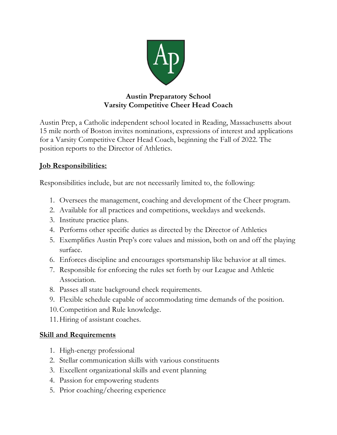

## **Austin Preparatory School Varsity Competitive Cheer Head Coach**

Austin Prep, a Catholic independent school located in Reading, Massachusetts about 15 mile north of Boston invites nominations, expressions of interest and applications for a Varsity Competitive Cheer Head Coach, beginning the Fall of 2022. The position reports to the Director of Athletics.

## **Job Responsibilities:**

Responsibilities include, but are not necessarily limited to, the following:

- 1. Oversees the management, coaching and development of the Cheer program.
- 2. Available for all practices and competitions, weekdays and weekends.
- 3. Institute practice plans.
- 4. Performs other specific duties as directed by the Director of Athletics
- 5. Exemplifies Austin Prep's core values and mission, both on and off the playing surface.
- 6. Enforces discipline and encourages sportsmanship like behavior at all times.
- 7. Responsible for enforcing the rules set forth by our League and Athletic Association.
- 8. Passes all state background check requirements.
- 9. Flexible schedule capable of accommodating time demands of the position.
- 10.Competition and Rule knowledge.
- 11.Hiring of assistant coaches.

## **Skill and Requirements**

- 1. High-energy professional
- 2. Stellar communication skills with various constituents
- 3. Excellent organizational skills and event planning
- 4. Passion for empowering students
- 5. Prior coaching/cheering experience